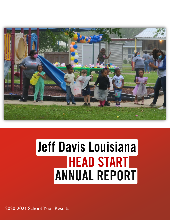

# Jeff Davis Louisiana **HEAD START** ANNUAL REPORT

2020-2021 School Year Results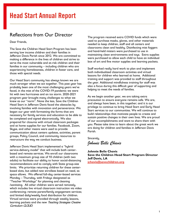### Reflections from Our Director

Dear Friends,

The Save the Children Head Start Program has been serving low income children and their families in Jefferson Davis Parish since 2012. We are committed to making a difference in the lives of children and strive to serve the most vulnerable and at-risk children and their families in our community – including children who are experiencing homelessness, children in foster care, and those with special needs.

Our Head Start community has always known we are much stronger when we act together. This past year has probably been one of the most challenging years we've faced, in the mist of the COVID-19 pandemic we were hit with two hurricanes and an ice storm. 2020-2021 program year brought many challenges to what we knew as our "norm". None the less, Save the Children Head Start in Jefferson Davis faced the obstacles by involving families with innovation and perseverance. We began our year with formatting the forms that are necessary for family services and education to be able to be completed and signed electronically. We also prepared for closures with virtual classroom packages and at home supplies for our families. Facebook, Zoom, Skype, and other means were used to provide communication about centers updates, activities, parent groups, Policy Council, and community resources to restructure the way we conduct business.

Jefferson Davis Head Start implemented a "hybrid service-delivery model" that will include both centerbased and remote services. We enroll our classrooms with a maximum group size of 10 children (with two adults) to facilitate our ability to honor social-distancing recommendations and to comply with State group-size limits. We prioritize returning children for these centerbased slots, but added new enrollees based on need, as space allows. We offered full-day center-based services Monday – Thursday, with Fridays designated as "Teacher Workdays" for planning and cleaning /sanitizing. All other children were served remotely, which includes live virtual classroom instruction via video conferencing; remote parent/family engagement services; and limited daily/weekly food distribution for children. Virtual services were provided through weekly lessons, learning packets and the new Teaching Strategies Greative Curriculum CLOUD.

The program received extra COVID funds which were used to purchase masks, gloves, and other materials needed to keep children, staff and all centers and classrooms clean and healthy. Disinfecting mist foggers and hand-held misters were purchased to use in maintaining clean environments and toys. Extra supplies were purchased to allow each child to have an individual box of art and fine motor supplies and learning packets.

Staff worked really hard work to plan and implement both individualized classroom activities and virtual lessons for children who learned at home. Additional training and support was provided to staff throughout the year. Additional mindfulness training for staff was also a focus during this difficult year of supporting and helping to meet the needs of families.

As we begin another year, we are taking extra precaution to ensure everyone remains safe. We are, and always have been, in this together; and it is our privilege to continue to bring Head Start and Early Head Start services to our communities. We will continue to build relationships that motivate people to create and sustain positive changes in their own lives. We are proud of our accomplishments and want to share them with you. Please take time to learn about the great work we are doing for children and families in Jefferson Davis Parish.

Sincerely,

*Johnnie Belle Chavis* 

**Johnnie Belle Chavis Save the Children Head Start Program Director Jeff Davis, LA [jchavis@savechildren.org](mailto:jchavis@savechildren.org)**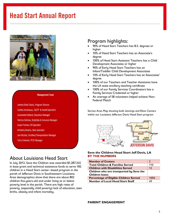

#### **Management Team**

Johnnie Belle Chavis, Program Director Cynthia Arceneaux, CACFP & Health Specialist **Gwennette Bellard, Education Manager** Patricia Dufrene, Disbilities & Inclusion Manager Susan Forman, HR Specialist Kimberly Beverly, Data Specialist Joni McZeal, Facilities/Transportation Manager Terry Fontenot, PFCE Manager

### About Louisiana Head Start

In July 2012, Save the Children was awarded \$1,287,345 in base grant and technical assistance funds to serve 182 children in a Head Start center- based program in the parish of Jefferson Davis in Southwestern Louisiana. Area demographics show that there are about 802 children five-years-old and under living at or below poverty level in the parish. There are high rates of poverty, (especially child poverty) lack of education, teen births, obesity and infant mortality.

### Program highlights:

- 90% of Head Start Teachers has B.S. degrees or higher
- 10% of Head Start Teachers has an Associate's degree
- 100% of Head Start Assistant Teachers has a Child Development Associates or higher
- 90% of Early Head Start Teachers has an Infant/Toddler Child Development Associates
- 10% of Early Head Start Teachers has an Associates' degree
- 100% of our Teachers and Teacher Assistants have the LA state ancillary teaching certificate
- 100% of our Family Services Coordinators has a Family Services Credential or higher
- An average of 58 volunteers helped achieve Non-Federal Match

Service Area Map showing both Jennings and Elton Centers within our Louisiana Jefferson Davis Head Start program



#### **Save the Children Head Start Jeff Davis, LA BY THE NUMBERS**

| <b>Number of Centers</b>                      | $\mathcal{D}$ |
|-----------------------------------------------|---------------|
| <b>Total Children &amp; Families Served</b>   | 110           |
| <b>Children with Disabilities Served</b>      | 12            |
| Children who are transported by Save the      |               |
| <b>Children buses</b>                         |               |
| <b>Percentage of Eligible Children Served</b> | 100%          |
| <b>Number of Local Head Start Staff</b>       | 40            |

**PARENT ENGAGEMENT**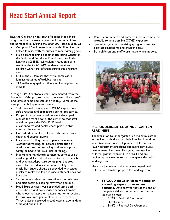Save the Children prides itself of leading Head Start programs that are two-generational, serving children and parents alike. During the 2020-2021 school year, we:

- Completed family assessments with all families and helped families with resources to meet family goals.
- Held parent-training opportunities using Center on the Social and Emotional Foundations for Early Learning (CSEFEL) curriculum virtual only as a result of the COVID-19 pandemic, services to children were very different during this program year.
- Out of the 26 families that were homeless, 1 families obtained affordable housing.
- 12 families engaged in a financial literacy-learning module

Strong COVID protocols were implemented from the beginning of the program year to ensure children, staff and families remained safe and healthy. Some of the new protocols implemented were:

- Staff received training on COVID-19 symptoms, safe practices and procedures during pre-service.
- Drop-off and pick-up stations were developed outside the front door of the center so that staff could complete the COVID-19 health questionnaires and health check prior to staff entering the center.
- Curbside drop off for children with temperature check and questionnaires
- For students riding the bus opening windows, weather permitting, to increase circulation of outdoor air, as long as doing so does not pose a safety or health risk (e.g., risk of falling).
- Maintaining mandatory consistent, correct use of masks by adults and children while on a school bus and at arrival/departure points (e.g., bus stops), except for individuals who cannot safely wear a mask. Bus drivers should be provided with extra masks to make available in case a student does not have one.
- Seating one student per row, alternating window and aisle seating, skipping row when possible.
- Head Start services were provided using both center-based and home-based services. Families who chose to keep their children at home received lessons two times per week with their teachers. Three children received virtual lessons, two in Head Start and one in EHS.
- Parent conferences and home visits were completed virtually to limit possible COVID exposure.
- Special foggers and sanitizing spray was used to disinfect classrooms and children's toys.
- Both children and staff wore masks while indoors.



#### **PRE-KINDERGARTEN /KINDERGARTEN READINESS**

The transition to kindergarten is a major milestone in the lives of children and their families. In addition, when transitions are well planned, children have fewer adjustment problems and more continuous developmental success. This year, twenty-nine children graduated from Head Start and are beginning their elementary school years this fall in kindergarten.

Here are just some of the ways we helped both children and families prepare for kindergarten:

- **TS GOLD shows children meeting or exceeding expectations across domains.** Data showed that at the end of the year children met expectations in the following areas:
	- o 91.2% in Social & Emotional Development
	- o 84.6% in Physical Development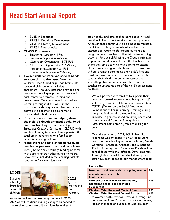- o 86.8% in Language
- o 79.1% in Cognitive Development
- o 93.4% in Literacy Development
- o 92.3% in Mathematics

#### • **CLASS Outcomes**

- o Emotional Support 6.4-Fall
- o Emotional Support 6.57-Spring
- o Classroom Organization 5.78-Fall
- o Classroom Organization 5.78-Spring
- o Instructional Support 4.31-Fall
- o Instructional Support 4.25-Spring
- **Twelve children received special needs services during the year.** Save the Children Head Start/Early Head Start staff screened children within 45-days of enrollment. The LEA staff then provided oneon-one and small group therapy services in each center to promote learning and development. Teachers helped to continue learning throughout the week in the classroom or through virtual lessons and sent activities to parents to do at home to support their child's learning.
- **Parents are involved in helping develop their child's developmental goals.** Head Start teachers began using Teaching Strategies Creative Curriculum CLOUD with families. This digital curriculum supported the teachers in partnering with families to promote learning at home.
- **Head Start and EHS children received two books per month** to build an at home librar**y** home and encourage reading at home with parents and/or other family members. Books were included in the learning packets sent home for virtual learners.

#### **LOOKII**



As we move into the new program year in 2021- 2022 we will continue making changes as needed to our services to ensure children, families and staff

stay healthy and safe as they participate in Head Start/Early Head Start services during a pandemic. Although there continues to be a need to maintain our COVID safety protocols, all children are expected to return to classroom learning this program year. Teachers will individualize learning activities for each child using the Cloud curriculum to promote readiness skills and the teachers can share the same activities with parents to extend classroom learning into the home. In this way, we will still promote parents as their child's first and most important teacher. Parents will also be able to support their child's on-going assessment by submitting observations and/or photos to the teacher to upload as part of the child's assessment portfolio.

We will partner with families to support their progress toward improved well-being and selfsufficiency. Parents will be able to participate in CSEFEL (Center on the Social Emotional Foundations of Early Learning) training during the year. Additional training will also be provided to parents based on family needs and trends learned from the Family Needs Assessment completed by families during the year.

Over the summer of 2021, SCUS Head Start Programs was awarded five new Head Start grants in the following states – Louisiana, North Carolina, Tennessee, Arkansas and Oklahoma. The Louisiana grant in Evangeline Parish will be consolidated with the Jefferson Davis program. Through this consolidation the following new staff have been added to our management team

#### **Health Data**

| Number of children with an ongoing source<br>of continuous, accessible<br>health care  | 107 |
|----------------------------------------------------------------------------------------|-----|
| Number of children with continuous,<br>accessible dental care provided<br>by a dentist | 105 |
| <b>Children Who Received Medical Exams</b>                                             | 105 |
| <b>Children Who Received Dental Exams</b>                                              | 105 |
| to oversee both lefferson Davis and Evangeline                                         |     |

to oversee both Jefferson Davis and Evangeline Parishes, an Area Manager, Fiscal Coordinator, Health Manager and Specialist who are both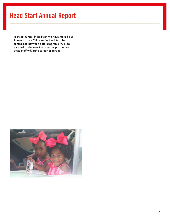licensed nurses. In addition we have moved our Administrative Office to Eunice, LA to be centralized between both programs. We look forward to the new ideas and opportunities these staff will bring to our program.

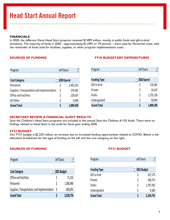#### **FINANCIALS**

In 2020, the Jefferson Davis Head Start program received \$1.899 million, mostly in public funds and gift-in-kind donations. The majority of funds in 2020 – approximately \$1.49M, or 79 percent – were used for Personnel costs, with the remainder of funds used for facilities, supplies, or other program implementation costs.

| Program                                     | Jeff Davis | J         |
|---------------------------------------------|------------|-----------|
|                                             |            |           |
| <b>Cost Category</b>                        | 2020 Spend |           |
| Personnel                                   | \$         | 1,491,331 |
| Supplies, Transportation and Implementation | \$         | 274,581   |
| <b>Office and Facilities</b>                | \$         | 129,637   |
| All Other                                   | \$         | 4,040     |
| <b>Grand Total</b>                          | S          | 1,899,590 |

#### **SOURCES OF FUNDING FY20 BUDGETARY EXPENDITURES**

| Program             | Jeff Davis |           |
|---------------------|------------|-----------|
|                     |            |           |
| <b>Funding Type</b> | 2020 Spend |           |
| Gift In Kind        | \$         | 119,381   |
| Private             | \$         | 14,147    |
| Public              | \$         | 1,715,120 |
| Undesignated        | \$         | 50,943    |
| <b>Grand Total</b>  | Ś          | 1,899,590 |

#### **SECRETARY REVIEW & FINANCIAL AUDIT RESULTS**

Save the Children's Head Start programs are included in the annual Save the Children A-133 Audit. There were no findings related to Head Start in the audit for fiscal year ending 2020.

#### **FY21 BUDGET**

Our FY21 budget is \$2.235 million, an increase due to increased funding opportunities related to COVID. Below is the allocation breakdown for the type of funding on the left and the cost category on the right.

#### **SOURCES OF FUNDING FY21 BUDGET**

| Program                                      | Jeff Davis |             |
|----------------------------------------------|------------|-------------|
|                                              |            |             |
| <b>Cost Category</b>                         |            | 2021 Budget |
| <b>Office and Facilities</b>                 |            | 71,233      |
| Personnel                                    | Ŝ          | 1,560,490   |
| Supplies, Transportation, and Implementation | Ŝ          | 603,053     |
| <b>Grand Total</b>                           |            | 2,234,776   |

| Program             | Jeff Davis |             |  |  |
|---------------------|------------|-------------|--|--|
|                     |            |             |  |  |
| <b>Funding Type</b> |            | 2021 Budget |  |  |
| Gift In Kind        | \$         | 327,179     |  |  |
| Private             | \$         | 100,714     |  |  |
| Public              | \$         | 1,797,703   |  |  |
| Undesignated        | \$         | 9,180       |  |  |
| <b>Grand Total</b>  |            | 2,234,776   |  |  |